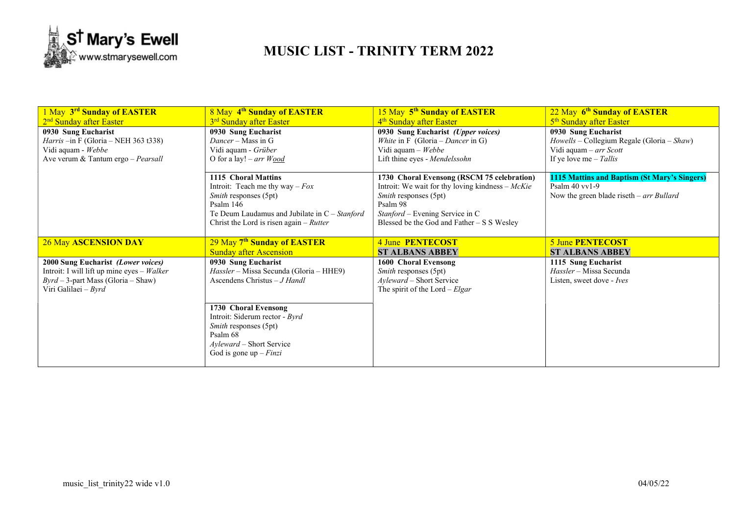

## MUSIC LIST - TRINITY TERM 2022

| 1 May 3rd Sunday of EASTER                                                                                                                         | 8 May 4 <sup>th</sup> Sunday of EASTER                                                                                                                                                                 | 15 May 5 <sup>th</sup> Sunday of EASTER                                                                                                                                                                               | 22 May 6 <sup>th</sup> Sunday of EASTER                                                                       |
|----------------------------------------------------------------------------------------------------------------------------------------------------|--------------------------------------------------------------------------------------------------------------------------------------------------------------------------------------------------------|-----------------------------------------------------------------------------------------------------------------------------------------------------------------------------------------------------------------------|---------------------------------------------------------------------------------------------------------------|
| 2 <sup>nd</sup> Sunday after Easter                                                                                                                | 3 <sup>rd</sup> Sunday after Easter                                                                                                                                                                    | 4 <sup>th</sup> Sunday after Easter                                                                                                                                                                                   | 5 <sup>th</sup> Sunday after Easter                                                                           |
| 0930 Sung Eucharist                                                                                                                                | 0930 Sung Eucharist                                                                                                                                                                                    | 0930 Sung Eucharist (Upper voices)                                                                                                                                                                                    | 0930 Sung Eucharist                                                                                           |
| <i>Harris</i> $-$ in F (Gloria – NEH 363 t338)                                                                                                     | Dancer – Mass in G                                                                                                                                                                                     | White in F (Gloria – Dancer in G)                                                                                                                                                                                     | Howells - Collegium Regale (Gloria - Shaw)                                                                    |
| Vidi aquam - Webbe                                                                                                                                 | Vidi aquam - Grüber                                                                                                                                                                                    | Vidi aquam $-$ Webbe                                                                                                                                                                                                  | Vidi aquam - arr Scott                                                                                        |
| Ave verum & Tantum ergo - Pearsall                                                                                                                 | O for a lay! $- arr W ood$                                                                                                                                                                             | Lift thine eyes - Mendelssohn                                                                                                                                                                                         | If ye love me $-$ Tallis                                                                                      |
|                                                                                                                                                    | 1115 Choral Mattins<br>Introit: Teach me thy way $-Fox$<br>Smith responses (5pt)<br>Psalm $146$<br>Te Deum Laudamus and Jubilate in $C - Stanford$<br>Christ the Lord is risen again $-$ <i>Rutter</i> | 1730 Choral Evensong (RSCM 75 celebration)<br>Introit: We wait for thy loving kindness $-McKie$<br>Smith responses (5pt)<br>Psalm 98<br>Stanford - Evening Service in C<br>Blessed be the God and Father - S S Wesley | 1115 Mattins and Baptism (St Mary's Singers)<br>Psalm $40$ vv1-9<br>Now the green blade riseth $-arr$ Bullard |
| <b>26 May ASCENSION DAY</b>                                                                                                                        | 29 May 7 <sup>th</sup> Sunday of EASTER                                                                                                                                                                | 4 June PENTECOST                                                                                                                                                                                                      | 5 June PENTECOST                                                                                              |
|                                                                                                                                                    | <b>Sunday after Ascension</b>                                                                                                                                                                          | <b>ST ALBANS ABBEY</b>                                                                                                                                                                                                | <b>ST ALBANS ABBEY</b>                                                                                        |
| 2000 Sung Eucharist (Lower voices)<br>Introit: I will lift up mine eyes $-Walker$<br>$Byrd - 3$ -part Mass (Gloria – Shaw)<br>Viri Galilaei - Byrd | 0930 Sung Eucharist<br>Hassler - Missa Secunda (Gloria - HHE9)<br>Ascendens Christus $-J$ Handl                                                                                                        | 1600 Choral Evensong<br>Smith responses (5pt)<br>Ayleward – Short Service<br>The spirit of the Lord - $Elgar$                                                                                                         | 1115 Sung Eucharist<br>Hassler - Missa Secunda<br>Listen, sweet dove - Ives                                   |
|                                                                                                                                                    | 1730 Choral Evensong<br>Introit: Siderum rector - Byrd<br><i>Smith</i> responses (5pt)<br>Psalm 68<br><i>Ayleward</i> – Short Service<br>God is gone up $-Finzi$                                       |                                                                                                                                                                                                                       |                                                                                                               |